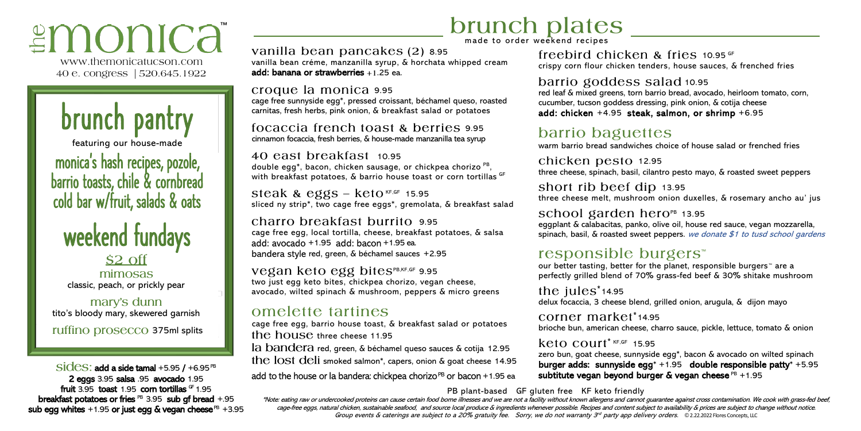# ≌monica

www.themonicatucson.com 40 e. congress | 520.645.1922

brunch pantry

featuring our house-made

monica' s hash recipes, pozole, barrio toasts, chile & cornbread cold bar w/fruit, salads & oats

# weekend fundays \$2 off

mimosas classic, peach, or prickly pear

mary's dunn tito's bloody mary, skewered garnish

ruffino prosecco 375ml splits

 $\overline{\text{sides}}$ : add a side tamal +5.95 / +6.95<sup>PB</sup> 2 eggs 3.95 salsa .95 avocado 1.95 fruit 3.95 toast 1.95 com tortillas  $GF 1.95$ breakfast potatoes or fries  $PB$  3.95 sub gf bread  $+.95$ sub egg whites  $+1.95$  or just egg & vegan cheese  $PB$  +3.95

# **brunch** plates

vanilla bean pancakes (2) 8.95 vanilla bean créme, manzanilla syrup, & horchata whipped cream add: banana or strawberries  $+1.25$  ea.

croque la monica 9.95 cage free sunnyside egg\*, pressed croissant, béchamel queso, roasted carnitas, fresh herbs, pink onion, & breakfast salad or potatoes

focaccia french toast & berries 9.95 cinnamon focaccia, fresh berries, & house-made manzanilla tea syrup

40 east breakfast 10.95 double egg\*, bacon, chicken sausage, or chickpea chorizo PB, with breakfast potatoes, & barrio house toast or corn tortillas GF

steak & eggs  $-$  keto KF,GF 15.95 sliced ny strip\*, two cage free eggs\*, gremolata, & breakfast salad

charro breakfast burrito 9.95 cage free egg, local tortilla, cheese, breakfast potatoes, & salsa add:  $avocado +1.95$  add:  $bacon +1.95$  ea. bandera style red, green, & béchamel sauces +2.95

Vegan keto egg bitesPB,KF,GF 9.95 two just egg keto bites, chickpea chorizo, vegan cheese, avocado, wilted spinach & mushroom, peppers & micro greens

### omelette tartines

cage free egg, barrio house toast, & breakfast salad or potatoes the house three cheese 11.95 la bandera red, green, & béchamel queso sauces & cotija 12.95 the lost deli smoked salmon\*, capers, onion & goat cheese 14.95

add to the house or la bandera: chickpea chorizo  $PB$  or bacon  $+1.95$  ea

freebird chicken & fries  $10.95$  GF crispy corn flour chicken tenders, house sauces, & frenched fries

barrio goddess salad 10.95

red leaf & mixed greens, torn barrio bread, avocado, heirloom tomato, corn, cucumber, tucson goddess dressing, pink onion, & cotija cheese add: chicken +4.95 steak, salmon, or shrimp +6.95

## barrio baguettes

warm barrio bread sandwiches choice of house salad or frenched fries

chicken pesto 12.95 three cheese, spinach, basil, cilantro pesto mayo, & roasted sweet peppers

short rib beef dip 13.95 three cheese melt, mushroom onion duxelles, & rosemary ancho au' jus

#### school garden hero $P<sub>B</sub>$  13.95

eggplant & calabacitas, panko, olive oil, house red sauce, vegan mozzarella, spinach, basil, & roasted sweet peppers. we donate \$1 to tusd school gardens

#### responsible burgers<sup>™</sup>

our better tasting, better for the planet, responsible burgers™ are a perfectly grilled blend of 70% grass-fed beef & 30% shitake mushroom

#### the  $iules^*$  14.95

delux focaccia, 3 cheese blend, grilled onion, arugula, & dijon mayo

corner market\*14.95 brioche bun, american cheese, charro sauce, pickle, lettuce, tomato & onion

#### $keta$  COUTT<sup>\* KF,GF</sup> 15.95

zero bun, goat cheese, sunnyside egg\*, bacon & avocado on wilted spinach burger adds: sunnyside egg\* +1.95 double responsible patty\* +5.95 subtitute vegan beyond burger & vegan cheese  $PB +1.95$ 

PB plant-based GF gluten free KF keto friendly

\*Note: eating raw or undercooked proteins can cause certain food borne illnesses and we are not a facility without known allergens and cannot guarantee against cross contamination. We cook with grass-fed beef, cage-free eggs, natural chicken, sustainable seafood, and source local produce & ingredients whenever possible. Recipes and content subject to availability & prices are subject to change without notice. Group events & caterings are subject to a 20% gratuity fee. Sorry, we do not warranty 3<sup>rd</sup> party app delivery orders. © 2.22.2022 Flores Concepts, LLC